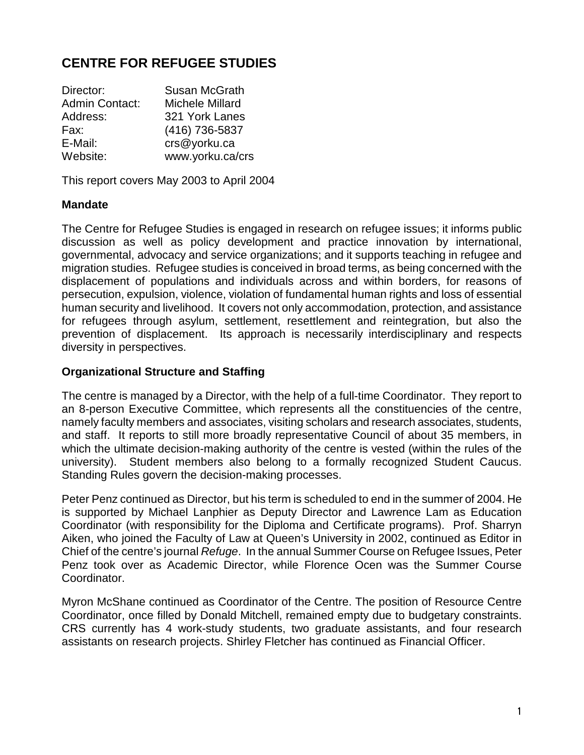# **CENTRE FOR REFUGEE STUDIES**

| Director:             | Susan McGrath          |
|-----------------------|------------------------|
| <b>Admin Contact:</b> | <b>Michele Millard</b> |
| Address:              | 321 York Lanes         |
| Fax:                  | (416) 736-5837         |
| E-Mail:               | crs@yorku.ca           |
| Website:              | www.yorku.ca/crs       |

This report covers May 2003 to April 2004

#### **Mandate**

The Centre for Refugee Studies is engaged in research on refugee issues; it informs public discussion as well as policy development and practice innovation by international, governmental, advocacy and service organizations; and it supports teaching in refugee and migration studies. Refugee studies is conceived in broad terms, as being concerned with the displacement of populations and individuals across and within borders, for reasons of persecution, expulsion, violence, violation of fundamental human rights and loss of essential human security and livelihood. It covers not only accommodation, protection, and assistance for refugees through asylum, settlement, resettlement and reintegration, but also the prevention of displacement. Its approach is necessarily interdisciplinary and respects diversity in perspectives.

#### **Organizational Structure and Staffing**

The centre is managed by a Director, with the help of a full-time Coordinator. They report to an 8-person Executive Committee, which represents all the constituencies of the centre, namely faculty members and associates, visiting scholars and research associates, students, and staff. It reports to still more broadly representative Council of about 35 members, in which the ultimate decision-making authority of the centre is vested (within the rules of the university). Student members also belong to a formally recognized Student Caucus. Standing Rules govern the decision-making processes.

Peter Penz continued as Director, but his term is scheduled to end in the summer of 2004. He is supported by Michael Lanphier as Deputy Director and Lawrence Lam as Education Coordinator (with responsibility for the Diploma and Certificate programs). Prof. Sharryn Aiken, who joined the Faculty of Law at Queen's University in 2002, continued as Editor in Chief of the centre's journal *Refuge*. In the annual Summer Course on Refugee Issues, Peter Penz took over as Academic Director, while Florence Ocen was the Summer Course Coordinator.

Myron McShane continued as Coordinator of the Centre. The position of Resource Centre Coordinator, once filled by Donald Mitchell, remained empty due to budgetary constraints. CRS currently has 4 work-study students, two graduate assistants, and four research assistants on research projects. Shirley Fletcher has continued as Financial Officer.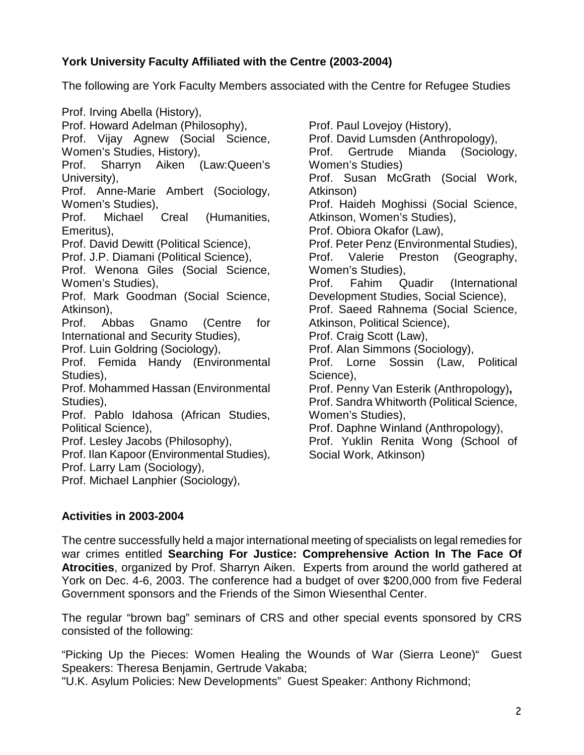## **York University Faculty Affiliated with the Centre (2003-2004)**

The following are York Faculty Members associated with the Centre for Refugee Studies

Prof. Irving Abella (History), Prof. Howard Adelman (Philosophy), Prof. Vijay Agnew (Social Science, Women's Studies, History), Prof. Sharryn Aiken (Law:Queen's University), Prof. Anne-Marie Ambert (Sociology, Women's Studies), Prof. Michael Creal (Humanities, Emeritus), Prof. David Dewitt (Political Science), Prof. J.P. Diamani (Political Science), Prof. Wenona Giles (Social Science, Women's Studies), Prof. Mark Goodman (Social Science, Atkinson), Prof. Abbas Gnamo (Centre for International and Security Studies), Prof. Luin Goldring (Sociology), Prof. Femida Handy (Environmental Studies), Prof. Mohammed Hassan (Environmental Studies), Prof. Pablo Idahosa (African Studies, Political Science), Prof. Lesley Jacobs (Philosophy), Prof. Ilan Kapoor (Environmental Studies), Prof. Larry Lam (Sociology), Prof. Michael Lanphier (Sociology),

Prof. Paul Lovejoy (History), Prof. David Lumsden (Anthropology), Prof. Gertrude Mianda (Sociology, Women's Studies) Prof. Susan McGrath (Social Work, Atkinson) Prof. Haideh Moghissi (Social Science, Atkinson, Women's Studies), Prof. Obiora Okafor (Law), Prof. Peter Penz (Environmental Studies), Prof. Valerie Preston (Geography, Women's Studies), Prof. Fahim Quadir (International Development Studies, Social Science), Prof. Saeed Rahnema (Social Science, Atkinson, Political Science), Prof. Craig Scott (Law), Prof. Alan Simmons (Sociology), Prof. Lorne Sossin (Law, Political Science), Prof. Penny Van Esterik (Anthropology)**,**  Prof. Sandra Whitworth (Political Science, Women's Studies), Prof. Daphne Winland (Anthropology), Prof. Yuklin Renita Wong (School of Social Work, Atkinson)

# **Activities in 2003-2004**

The centre successfully held a major international meeting of specialists on legal remedies for war crimes entitled **Searching For Justice: Comprehensive Action In The Face Of Atrocities**, organized by Prof. Sharryn Aiken. Experts from around the world gathered at York on Dec. 4-6, 2003. The conference had a budget of over \$200,000 from five Federal Government sponsors and the Friends of the Simon Wiesenthal Center.

The regular "brown bag" seminars of CRS and other special events sponsored by CRS consisted of the following:

"Picking Up the Pieces: Women Healing the Wounds of War (Sierra Leone)" Guest Speakers: Theresa Benjamin, Gertrude Vakaba;

"U.K. Asylum Policies: New Developments" Guest Speaker: Anthony Richmond;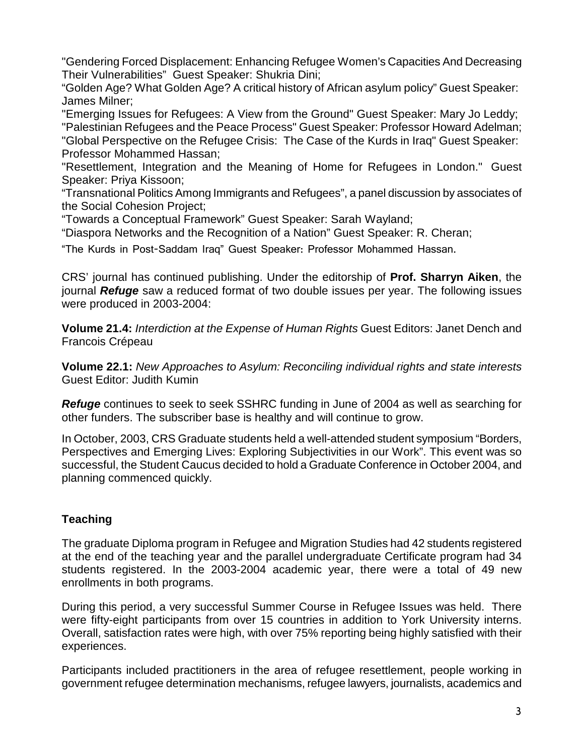"Gendering Forced Displacement: Enhancing Refugee Women's Capacities And Decreasing Their Vulnerabilities" Guest Speaker: Shukria Dini;

"Golden Age? What Golden Age? A critical history of African asylum policy" Guest Speaker: James Milner;

"Emerging Issues for Refugees: A View from the Ground" Guest Speaker: Mary Jo Leddy; "Palestinian Refugees and the Peace Process" Guest Speaker: Professor Howard Adelman; "Global Perspective on the Refugee Crisis: The Case of the Kurds in Iraq" Guest Speaker: Professor Mohammed Hassan;

"Resettlement, Integration and the Meaning of Home for Refugees in London." Guest Speaker: Priya Kissoon;

"Transnational Politics Among Immigrants and Refugees", a panel discussion by associates of the Social Cohesion Project;

"Towards a Conceptual Framework" Guest Speaker: Sarah Wayland;

"Diaspora Networks and the Recognition of a Nation" Guest Speaker: R. Cheran;

"The Kurds in Post-Saddam Iraq" Guest Speaker: Professor Mohammed Hassan.

CRS' journal has continued publishing. Under the editorship of **Prof. Sharryn Aiken**, the journal *Refuge* saw a reduced format of two double issues per year. The following issues were produced in 2003-2004:

**Volume 21.4:** *Interdiction at the Expense of Human Rights* Guest Editors: Janet Dench and Francois Crépeau

**Volume 22.1:** *New Approaches to Asylum: Reconciling individual rights and state interests*  Guest Editor: Judith Kumin

*Refuge* continues to seek to seek SSHRC funding in June of 2004 as well as searching for other funders. The subscriber base is healthy and will continue to grow.

In October, 2003, CRS Graduate students held a well-attended student symposium "Borders, Perspectives and Emerging Lives: Exploring Subjectivities in our Work". This event was so successful, the Student Caucus decided to hold a Graduate Conference in October 2004, and planning commenced quickly.

# **Teaching**

The graduate Diploma program in Refugee and Migration Studies had 42 students registered at the end of the teaching year and the parallel undergraduate Certificate program had 34 students registered. In the 2003-2004 academic year, there were a total of 49 new enrollments in both programs.

During this period, a very successful Summer Course in Refugee Issues was held. There were fifty-eight participants from over 15 countries in addition to York University interns. Overall, satisfaction rates were high, with over 75% reporting being highly satisfied with their experiences.

Participants included practitioners in the area of refugee resettlement, people working in government refugee determination mechanisms, refugee lawyers, journalists, academics and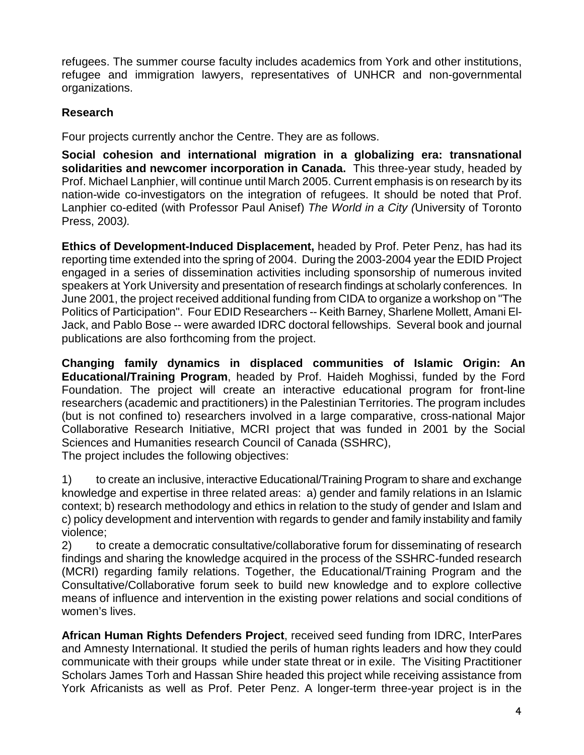refugees. The summer course faculty includes academics from York and other institutions, refugee and immigration lawyers, representatives of UNHCR and non-governmental organizations.

## **Research**

Four projects currently anchor the Centre. They are as follows.

**Social cohesion and international migration in a globalizing era: transnational solidarities and newcomer incorporation in Canada.** This three-year study, headed by Prof. Michael Lanphier, will continue until March 2005. Current emphasis is on research by its nation-wide co-investigators on the integration of refugees. It should be noted that Prof. Lanphier co-edited (with Professor Paul Anisef) *The World in a City (*University of Toronto Press, 2003*).*

**Ethics of Development-Induced Displacement,** headed by Prof. Peter Penz, has had its reporting time extended into the spring of 2004. During the 2003-2004 year the EDID Project engaged in a series of dissemination activities including sponsorship of numerous invited speakers at York University and presentation of research findings at scholarly conferences. In June 2001, the project received additional funding from CIDA to organize a workshop on "The Politics of Participation". Four EDID Researchers -- Keith Barney, Sharlene Mollett, Amani El-Jack, and Pablo Bose -- were awarded IDRC doctoral fellowships. Several book and journal publications are also forthcoming from the project.

**Changing family dynamics in displaced communities of Islamic Origin: An Educational/Training Program**, headed by Prof. Haideh Moghissi, funded by the Ford Foundation. The project will create an interactive educational program for front-line researchers (academic and practitioners) in the Palestinian Territories. The program includes (but is not confined to) researchers involved in a large comparative, cross-national Major Collaborative Research Initiative, MCRI project that was funded in 2001 by the Social Sciences and Humanities research Council of Canada (SSHRC),

The project includes the following objectives:

1) to create an inclusive, interactive Educational/Training Program to share and exchange knowledge and expertise in three related areas: a) gender and family relations in an Islamic context; b) research methodology and ethics in relation to the study of gender and Islam and c) policy development and intervention with regards to gender and family instability and family violence;

2) to create a democratic consultative/collaborative forum for disseminating of research findings and sharing the knowledge acquired in the process of the SSHRC-funded research (MCRI) regarding family relations. Together, the Educational/Training Program and the Consultative/Collaborative forum seek to build new knowledge and to explore collective means of influence and intervention in the existing power relations and social conditions of women's lives.

**African Human Rights Defenders Project**, received seed funding from IDRC, InterPares and Amnesty International. It studied the perils of human rights leaders and how they could communicate with their groups while under state threat or in exile. The Visiting Practitioner Scholars James Torh and Hassan Shire headed this project while receiving assistance from York Africanists as well as Prof. Peter Penz. A longer-term three-year project is in the